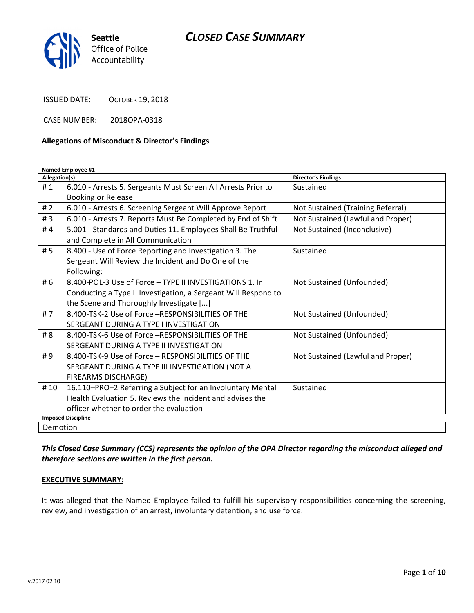

ISSUED DATE: OCTOBER 19, 2018

CASE NUMBER: 2018OPA-0318

#### Allegations of Misconduct & Director's Findings

Named Employee #1

| Allegation(s):            |                                                                | <b>Director's Findings</b>        |
|---------------------------|----------------------------------------------------------------|-----------------------------------|
| #1                        | 6.010 - Arrests 5. Sergeants Must Screen All Arrests Prior to  | Sustained                         |
|                           | <b>Booking or Release</b>                                      |                                   |
| #2                        | 6.010 - Arrests 6. Screening Sergeant Will Approve Report      | Not Sustained (Training Referral) |
| #3                        | 6.010 - Arrests 7. Reports Must Be Completed by End of Shift   | Not Sustained (Lawful and Proper) |
| #4                        | 5.001 - Standards and Duties 11. Employees Shall Be Truthful   | Not Sustained (Inconclusive)      |
|                           | and Complete in All Communication                              |                                   |
| #5                        | 8.400 - Use of Force Reporting and Investigation 3. The        | Sustained                         |
|                           | Sergeant Will Review the Incident and Do One of the            |                                   |
|                           | Following:                                                     |                                   |
| # 6                       | 8.400-POL-3 Use of Force - TYPE II INVESTIGATIONS 1. In        | Not Sustained (Unfounded)         |
|                           | Conducting a Type II Investigation, a Sergeant Will Respond to |                                   |
|                           | the Scene and Thoroughly Investigate []                        |                                   |
| #7                        | 8.400-TSK-2 Use of Force -RESPONSIBILITIES OF THE              | Not Sustained (Unfounded)         |
|                           | SERGEANT DURING A TYPE I INVESTIGATION                         |                                   |
| # 8                       | 8.400-TSK-6 Use of Force -RESPONSIBILITIES OF THE              | Not Sustained (Unfounded)         |
|                           | SERGEANT DURING A TYPE II INVESTIGATION                        |                                   |
| #9                        | 8.400-TSK-9 Use of Force - RESPONSIBILITIES OF THE             | Not Sustained (Lawful and Proper) |
|                           | SERGEANT DURING A TYPE III INVESTIGATION (NOT A                |                                   |
|                           | <b>FIREARMS DISCHARGE)</b>                                     |                                   |
| # 10                      | 16.110-PRO-2 Referring a Subject for an Involuntary Mental     | Sustained                         |
|                           | Health Evaluation 5. Reviews the incident and advises the      |                                   |
|                           | officer whether to order the evaluation                        |                                   |
| <b>Imposed Discipline</b> |                                                                |                                   |
| Demotion                  |                                                                |                                   |

This Closed Case Summary (CCS) represents the opinion of the OPA Director regarding the misconduct alleged and therefore sections are written in the first person.

#### EXECUTIVE SUMMARY:

It was alleged that the Named Employee failed to fulfill his supervisory responsibilities concerning the screening, review, and investigation of an arrest, involuntary detention, and use force.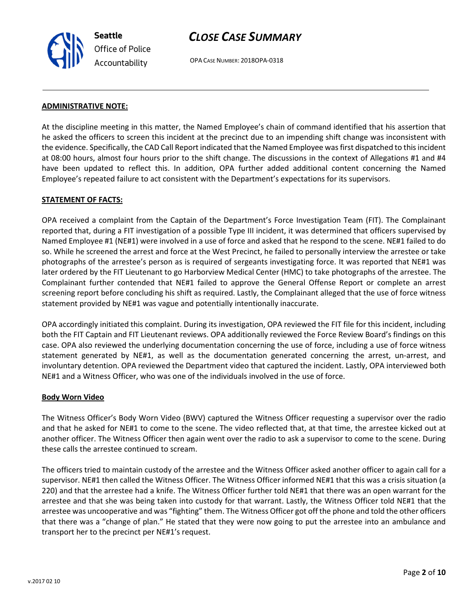# CLOSE CASE SUMMARY

OPA CASE NUMBER: 2018OPA-0318

#### ADMINISTRATIVE NOTE:

At the discipline meeting in this matter, the Named Employee's chain of command identified that his assertion that he asked the officers to screen this incident at the precinct due to an impending shift change was inconsistent with the evidence. Specifically, the CAD Call Report indicated that the Named Employee was first dispatched to this incident at 08:00 hours, almost four hours prior to the shift change. The discussions in the context of Allegations #1 and #4 have been updated to reflect this. In addition, OPA further added additional content concerning the Named Employee's repeated failure to act consistent with the Department's expectations for its supervisors.

#### STATEMENT OF FACTS:

OPA received a complaint from the Captain of the Department's Force Investigation Team (FIT). The Complainant reported that, during a FIT investigation of a possible Type III incident, it was determined that officers supervised by Named Employee #1 (NE#1) were involved in a use of force and asked that he respond to the scene. NE#1 failed to do so. While he screened the arrest and force at the West Precinct, he failed to personally interview the arrestee or take photographs of the arrestee's person as is required of sergeants investigating force. It was reported that NE#1 was later ordered by the FIT Lieutenant to go Harborview Medical Center (HMC) to take photographs of the arrestee. The Complainant further contended that NE#1 failed to approve the General Offense Report or complete an arrest screening report before concluding his shift as required. Lastly, the Complainant alleged that the use of force witness statement provided by NE#1 was vague and potentially intentionally inaccurate.

OPA accordingly initiated this complaint. During its investigation, OPA reviewed the FIT file for this incident, including both the FIT Captain and FIT Lieutenant reviews. OPA additionally reviewed the Force Review Board's findings on this case. OPA also reviewed the underlying documentation concerning the use of force, including a use of force witness statement generated by NE#1, as well as the documentation generated concerning the arrest, un-arrest, and involuntary detention. OPA reviewed the Department video that captured the incident. Lastly, OPA interviewed both NE#1 and a Witness Officer, who was one of the individuals involved in the use of force.

#### Body Worn Video

The Witness Officer's Body Worn Video (BWV) captured the Witness Officer requesting a supervisor over the radio and that he asked for NE#1 to come to the scene. The video reflected that, at that time, the arrestee kicked out at another officer. The Witness Officer then again went over the radio to ask a supervisor to come to the scene. During these calls the arrestee continued to scream.

The officers tried to maintain custody of the arrestee and the Witness Officer asked another officer to again call for a supervisor. NE#1 then called the Witness Officer. The Witness Officer informed NE#1 that this was a crisis situation (a 220) and that the arrestee had a knife. The Witness Officer further told NE#1 that there was an open warrant for the arrestee and that she was being taken into custody for that warrant. Lastly, the Witness Officer told NE#1 that the arrestee was uncooperative and was "fighting" them. The Witness Officer got off the phone and told the other officers that there was a "change of plan." He stated that they were now going to put the arrestee into an ambulance and transport her to the precinct per NE#1's request.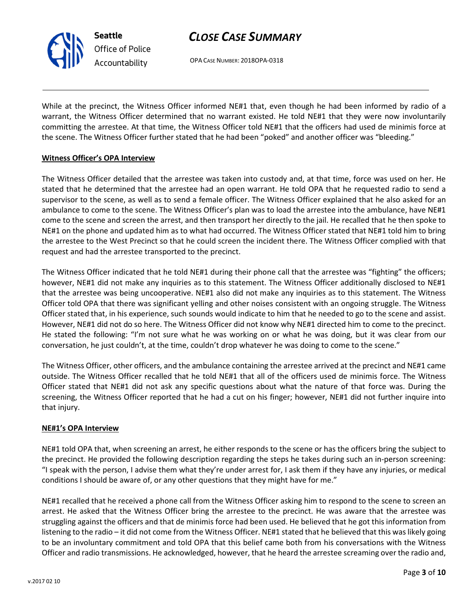OPA CASE NUMBER: 2018OPA-0318

While at the precinct, the Witness Officer informed NE#1 that, even though he had been informed by radio of a warrant, the Witness Officer determined that no warrant existed. He told NE#1 that they were now involuntarily committing the arrestee. At that time, the Witness Officer told NE#1 that the officers had used de minimis force at the scene. The Witness Officer further stated that he had been "poked" and another officer was "bleeding."

#### Witness Officer's OPA Interview

Seattle

Office of Police Accountability

The Witness Officer detailed that the arrestee was taken into custody and, at that time, force was used on her. He stated that he determined that the arrestee had an open warrant. He told OPA that he requested radio to send a supervisor to the scene, as well as to send a female officer. The Witness Officer explained that he also asked for an ambulance to come to the scene. The Witness Officer's plan was to load the arrestee into the ambulance, have NE#1 come to the scene and screen the arrest, and then transport her directly to the jail. He recalled that he then spoke to NE#1 on the phone and updated him as to what had occurred. The Witness Officer stated that NE#1 told him to bring the arrestee to the West Precinct so that he could screen the incident there. The Witness Officer complied with that request and had the arrestee transported to the precinct.

The Witness Officer indicated that he told NE#1 during their phone call that the arrestee was "fighting" the officers; however, NE#1 did not make any inquiries as to this statement. The Witness Officer additionally disclosed to NE#1 that the arrestee was being uncooperative. NE#1 also did not make any inquiries as to this statement. The Witness Officer told OPA that there was significant yelling and other noises consistent with an ongoing struggle. The Witness Officer stated that, in his experience, such sounds would indicate to him that he needed to go to the scene and assist. However, NE#1 did not do so here. The Witness Officer did not know why NE#1 directed him to come to the precinct. He stated the following: "I'm not sure what he was working on or what he was doing, but it was clear from our conversation, he just couldn't, at the time, couldn't drop whatever he was doing to come to the scene."

The Witness Officer, other officers, and the ambulance containing the arrestee arrived at the precinct and NE#1 came outside. The Witness Officer recalled that he told NE#1 that all of the officers used de minimis force. The Witness Officer stated that NE#1 did not ask any specific questions about what the nature of that force was. During the screening, the Witness Officer reported that he had a cut on his finger; however, NE#1 did not further inquire into that injury.

#### NE#1's OPA Interview

NE#1 told OPA that, when screening an arrest, he either responds to the scene or has the officers bring the subject to the precinct. He provided the following description regarding the steps he takes during such an in-person screening: "I speak with the person, I advise them what they're under arrest for, I ask them if they have any injuries, or medical conditions I should be aware of, or any other questions that they might have for me."

NE#1 recalled that he received a phone call from the Witness Officer asking him to respond to the scene to screen an arrest. He asked that the Witness Officer bring the arrestee to the precinct. He was aware that the arrestee was struggling against the officers and that de minimis force had been used. He believed that he got this information from listening to the radio – it did not come from the Witness Officer. NE#1 stated that he believed that this was likely going to be an involuntary commitment and told OPA that this belief came both from his conversations with the Witness Officer and radio transmissions. He acknowledged, however, that he heard the arrestee screaming over the radio and,

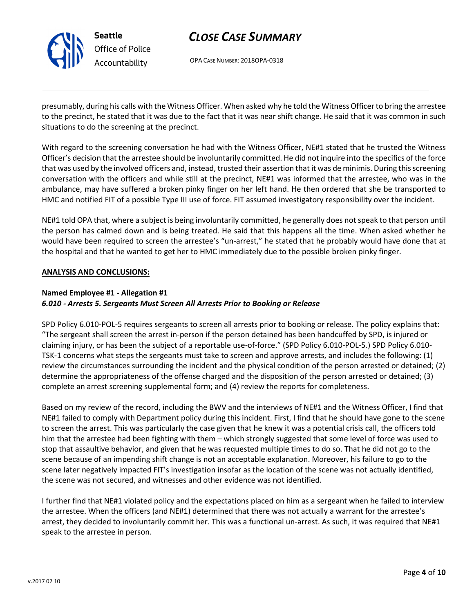

OPA CASE NUMBER: 2018OPA-0318

presumably, during his calls with the Witness Officer. When asked why he told the Witness Officer to bring the arrestee to the precinct, he stated that it was due to the fact that it was near shift change. He said that it was common in such situations to do the screening at the precinct.

With regard to the screening conversation he had with the Witness Officer, NE#1 stated that he trusted the Witness Officer's decision that the arrestee should be involuntarily committed. He did not inquire into the specifics of the force that was used by the involved officers and, instead, trusted their assertion that it was de minimis. During this screening conversation with the officers and while still at the precinct, NE#1 was informed that the arrestee, who was in the ambulance, may have suffered a broken pinky finger on her left hand. He then ordered that she be transported to HMC and notified FIT of a possible Type III use of force. FIT assumed investigatory responsibility over the incident.

NE#1 told OPA that, where a subject is being involuntarily committed, he generally does not speak to that person until the person has calmed down and is being treated. He said that this happens all the time. When asked whether he would have been required to screen the arrestee's "un-arrest," he stated that he probably would have done that at the hospital and that he wanted to get her to HMC immediately due to the possible broken pinky finger.

#### ANALYSIS AND CONCLUSIONS:

### Named Employee #1 - Allegation #1

#### 6.010 - Arrests 5. Sergeants Must Screen All Arrests Prior to Booking or Release

SPD Policy 6.010-POL-5 requires sergeants to screen all arrests prior to booking or release. The policy explains that: "The sergeant shall screen the arrest in-person if the person detained has been handcuffed by SPD, is injured or claiming injury, or has been the subject of a reportable use-of-force." (SPD Policy 6.010-POL-5.) SPD Policy 6.010- TSK-1 concerns what steps the sergeants must take to screen and approve arrests, and includes the following: (1) review the circumstances surrounding the incident and the physical condition of the person arrested or detained; (2) determine the appropriateness of the offense charged and the disposition of the person arrested or detained; (3) complete an arrest screening supplemental form; and (4) review the reports for completeness.

Based on my review of the record, including the BWV and the interviews of NE#1 and the Witness Officer, I find that NE#1 failed to comply with Department policy during this incident. First, I find that he should have gone to the scene to screen the arrest. This was particularly the case given that he knew it was a potential crisis call, the officers told him that the arrestee had been fighting with them – which strongly suggested that some level of force was used to stop that assaultive behavior, and given that he was requested multiple times to do so. That he did not go to the scene because of an impending shift change is not an acceptable explanation. Moreover, his failure to go to the scene later negatively impacted FIT's investigation insofar as the location of the scene was not actually identified, the scene was not secured, and witnesses and other evidence was not identified.

I further find that NE#1 violated policy and the expectations placed on him as a sergeant when he failed to interview the arrestee. When the officers (and NE#1) determined that there was not actually a warrant for the arrestee's arrest, they decided to involuntarily commit her. This was a functional un-arrest. As such, it was required that NE#1 speak to the arrestee in person.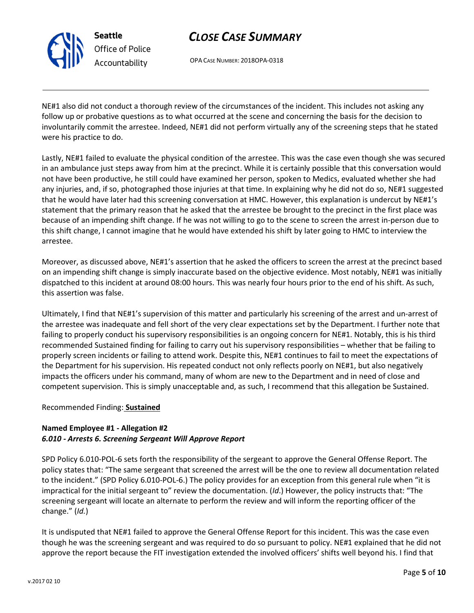

# CLOSE CASE SUMMARY

OPA CASE NUMBER: 2018OPA-0318

NE#1 also did not conduct a thorough review of the circumstances of the incident. This includes not asking any follow up or probative questions as to what occurred at the scene and concerning the basis for the decision to involuntarily commit the arrestee. Indeed, NE#1 did not perform virtually any of the screening steps that he stated were his practice to do.

Lastly, NE#1 failed to evaluate the physical condition of the arrestee. This was the case even though she was secured in an ambulance just steps away from him at the precinct. While it is certainly possible that this conversation would not have been productive, he still could have examined her person, spoken to Medics, evaluated whether she had any injuries, and, if so, photographed those injuries at that time. In explaining why he did not do so, NE#1 suggested that he would have later had this screening conversation at HMC. However, this explanation is undercut by NE#1's statement that the primary reason that he asked that the arrestee be brought to the precinct in the first place was because of an impending shift change. If he was not willing to go to the scene to screen the arrest in-person due to this shift change, I cannot imagine that he would have extended his shift by later going to HMC to interview the arrestee.

Moreover, as discussed above, NE#1's assertion that he asked the officers to screen the arrest at the precinct based on an impending shift change is simply inaccurate based on the objective evidence. Most notably, NE#1 was initially dispatched to this incident at around 08:00 hours. This was nearly four hours prior to the end of his shift. As such, this assertion was false.

Ultimately, I find that NE#1's supervision of this matter and particularly his screening of the arrest and un-arrest of the arrestee was inadequate and fell short of the very clear expectations set by the Department. I further note that failing to properly conduct his supervisory responsibilities is an ongoing concern for NE#1. Notably, this is his third recommended Sustained finding for failing to carry out his supervisory responsibilities – whether that be failing to properly screen incidents or failing to attend work. Despite this, NE#1 continues to fail to meet the expectations of the Department for his supervision. His repeated conduct not only reflects poorly on NE#1, but also negatively impacts the officers under his command, many of whom are new to the Department and in need of close and competent supervision. This is simply unacceptable and, as such, I recommend that this allegation be Sustained.

### Recommended Finding: Sustained

## Named Employee #1 - Allegation #2 6.010 - Arrests 6. Screening Sergeant Will Approve Report

SPD Policy 6.010-POL-6 sets forth the responsibility of the sergeant to approve the General Offense Report. The policy states that: "The same sergeant that screened the arrest will be the one to review all documentation related to the incident." (SPD Policy 6.010-POL-6.) The policy provides for an exception from this general rule when "it is impractical for the initial sergeant to" review the documentation. (Id.) However, the policy instructs that: "The screening sergeant will locate an alternate to perform the review and will inform the reporting officer of the change." (Id.)

It is undisputed that NE#1 failed to approve the General Offense Report for this incident. This was the case even though he was the screening sergeant and was required to do so pursuant to policy. NE#1 explained that he did not approve the report because the FIT investigation extended the involved officers' shifts well beyond his. I find that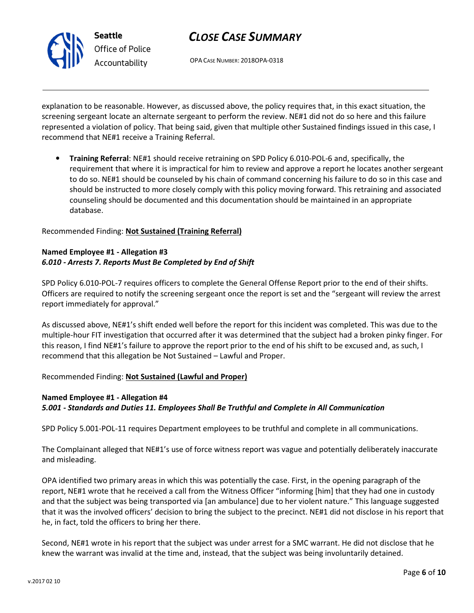

# CLOSE CASE SUMMARY

OPA CASE NUMBER: 2018OPA-0318

explanation to be reasonable. However, as discussed above, the policy requires that, in this exact situation, the screening sergeant locate an alternate sergeant to perform the review. NE#1 did not do so here and this failure represented a violation of policy. That being said, given that multiple other Sustained findings issued in this case, I recommend that NE#1 receive a Training Referral.

• Training Referral: NE#1 should receive retraining on SPD Policy 6.010-POL-6 and, specifically, the requirement that where it is impractical for him to review and approve a report he locates another sergeant to do so. NE#1 should be counseled by his chain of command concerning his failure to do so in this case and should be instructed to more closely comply with this policy moving forward. This retraining and associated counseling should be documented and this documentation should be maintained in an appropriate database.

Recommended Finding: Not Sustained (Training Referral)

### Named Employee #1 - Allegation #3 6.010 - Arrests 7. Reports Must Be Completed by End of Shift

SPD Policy 6.010-POL-7 requires officers to complete the General Offense Report prior to the end of their shifts. Officers are required to notify the screening sergeant once the report is set and the "sergeant will review the arrest report immediately for approval."

As discussed above, NE#1's shift ended well before the report for this incident was completed. This was due to the multiple-hour FIT investigation that occurred after it was determined that the subject had a broken pinky finger. For this reason, I find NE#1's failure to approve the report prior to the end of his shift to be excused and, as such, I recommend that this allegation be Not Sustained – Lawful and Proper.

### Recommended Finding: Not Sustained (Lawful and Proper)

## Named Employee #1 - Allegation #4 5.001 - Standards and Duties 11. Employees Shall Be Truthful and Complete in All Communication

SPD Policy 5.001-POL-11 requires Department employees to be truthful and complete in all communications.

The Complainant alleged that NE#1's use of force witness report was vague and potentially deliberately inaccurate and misleading.

OPA identified two primary areas in which this was potentially the case. First, in the opening paragraph of the report, NE#1 wrote that he received a call from the Witness Officer "informing [him] that they had one in custody and that the subject was being transported via [an ambulance] due to her violent nature." This language suggested that it was the involved officers' decision to bring the subject to the precinct. NE#1 did not disclose in his report that he, in fact, told the officers to bring her there.

Second, NE#1 wrote in his report that the subject was under arrest for a SMC warrant. He did not disclose that he knew the warrant was invalid at the time and, instead, that the subject was being involuntarily detained.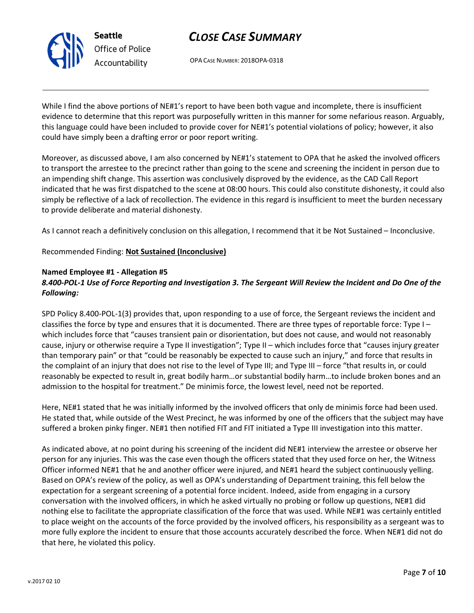

OPA CASE NUMBER: 2018OPA-0318

While I find the above portions of NE#1's report to have been both vague and incomplete, there is insufficient evidence to determine that this report was purposefully written in this manner for some nefarious reason. Arguably, this language could have been included to provide cover for NE#1's potential violations of policy; however, it also could have simply been a drafting error or poor report writing.

Moreover, as discussed above, I am also concerned by NE#1's statement to OPA that he asked the involved officers to transport the arrestee to the precinct rather than going to the scene and screening the incident in person due to an impending shift change. This assertion was conclusively disproved by the evidence, as the CAD Call Report indicated that he was first dispatched to the scene at 08:00 hours. This could also constitute dishonesty, it could also simply be reflective of a lack of recollection. The evidence in this regard is insufficient to meet the burden necessary to provide deliberate and material dishonesty.

As I cannot reach a definitively conclusion on this allegation, I recommend that it be Not Sustained – Inconclusive.

### Recommended Finding: Not Sustained (Inconclusive)

### Named Employee #1 - Allegation #5

Seattle

Office of Police Accountability

## 8.400-POL-1 Use of Force Reporting and Investigation 3. The Sergeant Will Review the Incident and Do One of the Following:

SPD Policy 8.400-POL-1(3) provides that, upon responding to a use of force, the Sergeant reviews the incident and classifies the force by type and ensures that it is documented. There are three types of reportable force: Type I – which includes force that "causes transient pain or disorientation, but does not cause, and would not reasonably cause, injury or otherwise require a Type II investigation"; Type II – which includes force that "causes injury greater than temporary pain" or that "could be reasonably be expected to cause such an injury," and force that results in the complaint of an injury that does not rise to the level of Type III; and Type III - force "that results in, or could reasonably be expected to result in, great bodily harm…or substantial bodily harm…to include broken bones and an admission to the hospital for treatment." De minimis force, the lowest level, need not be reported.

Here, NE#1 stated that he was initially informed by the involved officers that only de minimis force had been used. He stated that, while outside of the West Precinct, he was informed by one of the officers that the subject may have suffered a broken pinky finger. NE#1 then notified FIT and FIT initiated a Type III investigation into this matter.

As indicated above, at no point during his screening of the incident did NE#1 interview the arrestee or observe her person for any injuries. This was the case even though the officers stated that they used force on her, the Witness Officer informed NE#1 that he and another officer were injured, and NE#1 heard the subject continuously yelling. Based on OPA's review of the policy, as well as OPA's understanding of Department training, this fell below the expectation for a sergeant screening of a potential force incident. Indeed, aside from engaging in a cursory conversation with the involved officers, in which he asked virtually no probing or follow up questions, NE#1 did nothing else to facilitate the appropriate classification of the force that was used. While NE#1 was certainly entitled to place weight on the accounts of the force provided by the involved officers, his responsibility as a sergeant was to more fully explore the incident to ensure that those accounts accurately described the force. When NE#1 did not do that here, he violated this policy.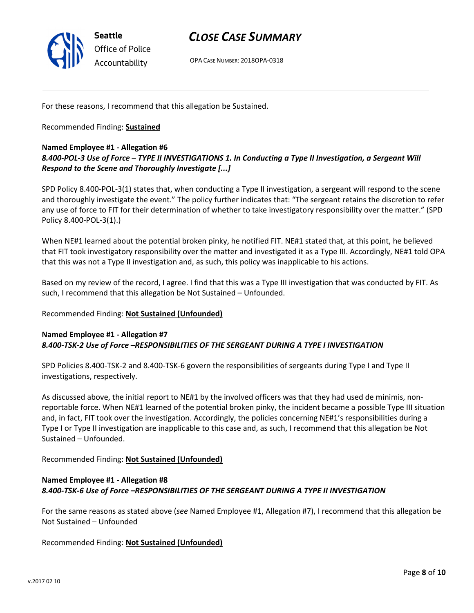

OPA CASE NUMBER: 2018OPA-0318

For these reasons, I recommend that this allegation be Sustained.

Recommended Finding: Sustained

#### Named Employee #1 - Allegation #6

### 8.400-POL-3 Use of Force – TYPE II INVESTIGATIONS 1. In Conducting a Type II Investigation, a Sergeant Will Respond to the Scene and Thoroughly Investigate [...]

SPD Policy 8.400-POL-3(1) states that, when conducting a Type II investigation, a sergeant will respond to the scene and thoroughly investigate the event." The policy further indicates that: "The sergeant retains the discretion to refer any use of force to FIT for their determination of whether to take investigatory responsibility over the matter." (SPD Policy 8.400-POL-3(1).)

When NE#1 learned about the potential broken pinky, he notified FIT. NE#1 stated that, at this point, he believed that FIT took investigatory responsibility over the matter and investigated it as a Type III. Accordingly, NE#1 told OPA that this was not a Type II investigation and, as such, this policy was inapplicable to his actions.

Based on my review of the record, I agree. I find that this was a Type III investigation that was conducted by FIT. As such, I recommend that this allegation be Not Sustained – Unfounded.

#### Recommended Finding: Not Sustained (Unfounded)

#### Named Employee #1 - Allegation #7 8.400-TSK-2 Use of Force –RESPONSIBILITIES OF THE SERGEANT DURING A TYPE I INVESTIGATION

SPD Policies 8.400-TSK-2 and 8.400-TSK-6 govern the responsibilities of sergeants during Type I and Type II investigations, respectively.

As discussed above, the initial report to NE#1 by the involved officers was that they had used de minimis, nonreportable force. When NE#1 learned of the potential broken pinky, the incident became a possible Type III situation and, in fact, FIT took over the investigation. Accordingly, the policies concerning NE#1's responsibilities during a Type I or Type II investigation are inapplicable to this case and, as such, I recommend that this allegation be Not Sustained – Unfounded.

Recommended Finding: Not Sustained (Unfounded)

#### Named Employee #1 - Allegation #8 8.400-TSK-6 Use of Force –RESPONSIBILITIES OF THE SERGEANT DURING A TYPE II INVESTIGATION

For the same reasons as stated above (see Named Employee #1, Allegation #7), I recommend that this allegation be Not Sustained – Unfounded

Recommended Finding: Not Sustained (Unfounded)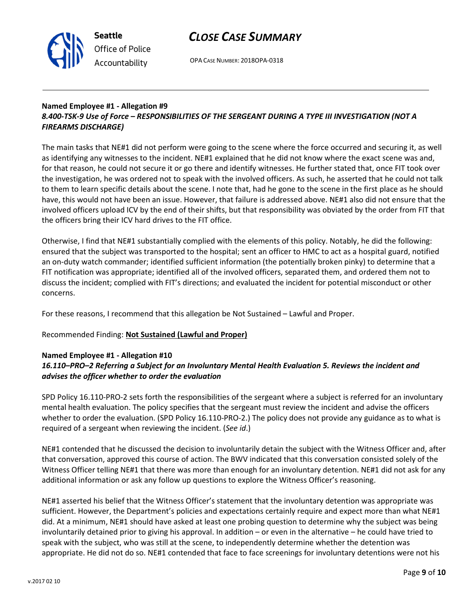

OPA CASE NUMBER: 2018OPA-0318

#### Named Employee #1 - Allegation #9 8.400-TSK-9 Use of Force – RESPONSIBILITIES OF THE SERGEANT DURING A TYPE III INVESTIGATION (NOT A FIREARMS DISCHARGE)

The main tasks that NE#1 did not perform were going to the scene where the force occurred and securing it, as well as identifying any witnesses to the incident. NE#1 explained that he did not know where the exact scene was and, for that reason, he could not secure it or go there and identify witnesses. He further stated that, once FIT took over the investigation, he was ordered not to speak with the involved officers. As such, he asserted that he could not talk to them to learn specific details about the scene. I note that, had he gone to the scene in the first place as he should have, this would not have been an issue. However, that failure is addressed above. NE#1 also did not ensure that the involved officers upload ICV by the end of their shifts, but that responsibility was obviated by the order from FIT that the officers bring their ICV hard drives to the FIT office.

Otherwise, I find that NE#1 substantially complied with the elements of this policy. Notably, he did the following: ensured that the subject was transported to the hospital; sent an officer to HMC to act as a hospital guard, notified an on-duty watch commander; identified sufficient information (the potentially broken pinky) to determine that a FIT notification was appropriate; identified all of the involved officers, separated them, and ordered them not to discuss the incident; complied with FIT's directions; and evaluated the incident for potential misconduct or other concerns.

For these reasons, I recommend that this allegation be Not Sustained – Lawful and Proper.

## Recommended Finding: Not Sustained (Lawful and Proper)

### Named Employee #1 - Allegation #10

## 16.110–PRO–2 Referring a Subject for an Involuntary Mental Health Evaluation 5. Reviews the incident and advises the officer whether to order the evaluation

SPD Policy 16.110-PRO-2 sets forth the responsibilities of the sergeant where a subject is referred for an involuntary mental health evaluation. The policy specifies that the sergeant must review the incident and advise the officers whether to order the evaluation. (SPD Policy 16.110-PRO-2.) The policy does not provide any guidance as to what is required of a sergeant when reviewing the incident. (See id.)

NE#1 contended that he discussed the decision to involuntarily detain the subject with the Witness Officer and, after that conversation, approved this course of action. The BWV indicated that this conversation consisted solely of the Witness Officer telling NE#1 that there was more than enough for an involuntary detention. NE#1 did not ask for any additional information or ask any follow up questions to explore the Witness Officer's reasoning.

NE#1 asserted his belief that the Witness Officer's statement that the involuntary detention was appropriate was sufficient. However, the Department's policies and expectations certainly require and expect more than what NE#1 did. At a minimum, NE#1 should have asked at least one probing question to determine why the subject was being involuntarily detained prior to giving his approval. In addition – or even in the alternative – he could have tried to speak with the subject, who was still at the scene, to independently determine whether the detention was appropriate. He did not do so. NE#1 contended that face to face screenings for involuntary detentions were not his